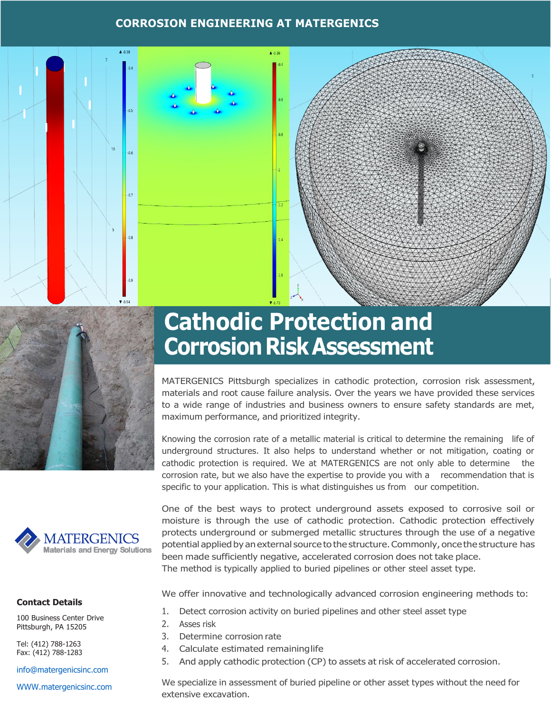#### **CORROSION ENGINEERING AT MATERGENICS**







#### **Contact Details**

100 Business Center Drive Pittsburgh, PA 15205

Tel: (412) 788-1263 Fax: (412) 788-1283

[info@matergenicsinc.com](mailto:info@matergenicsinc.com)

[WWW.matergenicsinc.com](http://www.matergenicsinc.com/)

# **Cathodic Protection and Corrosion Risk Assessment**

MATERGENICS Pittsburgh specializes in cathodic protection, corrosion risk assessment, materials and root cause failure analysis. Over the years we have provided these services to a wide range of industries and business owners to ensure safety standards are met, maximum performance, and prioritized integrity.

Knowing the corrosion rate of a metallic material is critical to determine the remaining life of underground structures. It also helps to understand whether or not mitigation, coating or cathodic protection is required. We at MATERGENICS are not only able to determine the corrosion rate, but we also have the expertise to provide you with a recommendation that is specific to your application. This is what distinguishes us from our competition.

One of the best ways to protect underground assets exposed to corrosive soil or moisture is through the use of cathodic protection. Cathodic protection effectively protects underground or submerged metallic structures through the use of a negative potential applied by an external source to the structure.Commonly, once the structure has been made sufficiently negative, accelerated corrosion does not take place. The method is typically applied to buried pipelines or other steel asset type. Materials and Energy Solutions<br>
been made sufficient<br>
The method is typical<br>
ct Details<br>
iness Center Drive<br>
gh, PA 15205<br>
2. Asses risk<br>
3. Determine corros<br>
2) 788-1263<br>
2) 788-1263<br>
4. Calculate estima<br>
5. And apply cat

We offer innovative and technologically advanced corrosion engineering methods to:

- 1. Detect corrosion activity on buried pipelines and other steel asset type
- 2. Asses risk
- 3. Determine corrosion rate
- 4. Calculate estimated remaininglife
- 5. And apply cathodic protection (CP) to assets at risk of accelerated corrosion.

We specialize in assessment of buried pipeline or other asset types without the need for